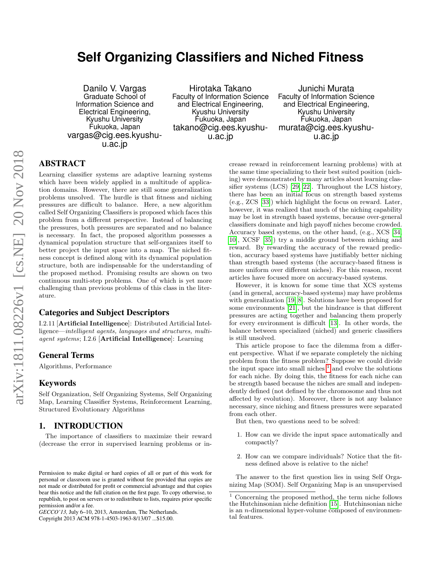# **Self Organizing Classifiers and Niched Fitness**

Danilo V. Vargas Graduate School of Information Science and Electrical Engineering, Kyushu University Fukuoka, Japan vargas@cig.ees.kyushuu.ac.jp

Hirotaka Takano Faculty of Information Science and Electrical Engineering, Kyushu University Fukuoka, Japan takano@cig.ees.kyushuu.ac.jp

Junichi Murata Faculty of Information Science and Electrical Engineering, Kyushu University Fukuoka, Japan murata@cig.ees.kyushuu.ac.jp

# ABSTRACT

Learning classifier systems are adaptive learning systems which have been widely applied in a multitude of application domains. However, there are still some generalization problems unsolved. The hurdle is that fitness and niching pressures are difficult to balance. Here, a new algorithm called Self Organizing Classifiers is proposed which faces this problem from a different perspective. Instead of balancing the pressures, both pressures are separated and no balance is necessary. In fact, the proposed algorithm possesses a dynamical population structure that self-organizes itself to better project the input space into a map. The niched fitness concept is defined along with its dynamical population structure, both are indispensable for the understanding of the proposed method. Promising results are shown on two continuous multi-step problems. One of which is yet more challenging than previous problems of this class in the literature.

## Categories and Subject Descriptors

I.2.11 [Artificial Intelligence]: Distributed Artificial Intelligence—intelligent agents, languages and structures, multiagent systems; I.2.6 [Artificial Intelligence]: Learning

#### General Terms

Algorithms, Performance

#### Keywords

Self Organization, Self Organizing Systems, Self Organizing Map, Learning Classifier Systems, Reinforcement Learning, Structured Evolutionary Algorithms

#### 1. INTRODUCTION

The importance of classifiers to maximize their reward (decrease the error in supervised learning problems or in-

Copyright 2013 ACM 978-1-4503-1963-8/13/07 ...\$15.00.

crease reward in reinforcement learning problems) with at the same time specializing to their best suited position (niching) were demonstrated by many articles about learning classifier systems (LCS) [\[29,](#page-7-0) [22\]](#page-7-1). Throughout the LCS history, there has been an initial focus on strength based systems (e.g., ZCS [\[33\]](#page-7-2)) which highlight the focus on reward. Later, however, it was realized that much of the niching capability may be lost in strength based systems, because over-general classifiers dominate and high payoff niches become crowded. Accuracy based systems, on the other hand, (e.g., XCS [\[34,](#page-7-3) [10\]](#page-7-4), XCSF [\[35\]](#page-7-5)) try a middle ground between niching and reward. By rewarding the accuracy of the reward prediction, accuracy based systems have justifiably better niching than strength based systems (the accuracy-based fitness is more uniform over different niches). For this reason, recent articles have focused more on accuracy-based systems.

However, it is known for some time that XCS systems (and in general, accuracy-based systems) may have problems with generalization [\[19,](#page-7-6) [8\]](#page-7-7). Solutions have been proposed for some environments [\[21\]](#page-7-8), but the hindrance is that different pressures are acting together and balancing them properly for every environment is difficult [\[13\]](#page-7-9). In other words, the balance between specialized (niched) and generic classifiers is still unsolved.

This article propose to face the dilemma from a different perspective. What if we separate completely the niching problem from the fitness problem? Suppose we could divide the input space into small niches  $<sup>1</sup>$  $<sup>1</sup>$  $<sup>1</sup>$  and evolve the solutions</sup> for each niche. By doing this, the fitness for each niche can be strength based because the niches are small and independently defined (not defined by the chromosome and thus not affected by evolution). Moreover, there is not any balance necessary, since niching and fitness pressures were separated from each other.

But then, two questions need to be solved:

- 1. How can we divide the input space automatically and compactly?
- 2. How can we compare individuals? Notice that the fitness defined above is relative to the niche!

The answer to the first question lies in using Self Organizing Map (SOM). Self Organizing Map is an unsupervised

Permission to make digital or hard copies of all or part of this work for personal or classroom use is granted without fee provided that copies are not made or distributed for profit or commercial advantage and that copies bear this notice and the full citation on the first page. To copy otherwise, to republish, to post on servers or to redistribute to lists, requires prior specific permission and/or a fee.

*GECCO'13,* July 6–10, 2013, Amsterdam, The Netherlands.

<span id="page-0-0"></span><sup>1</sup> Concerning the proposed method, the term niche follows the Hutchinsonian niche definition [\[15\]](#page-7-10). Hutchinsonian niche is an n-dimensional hyper-volume composed of environmental features.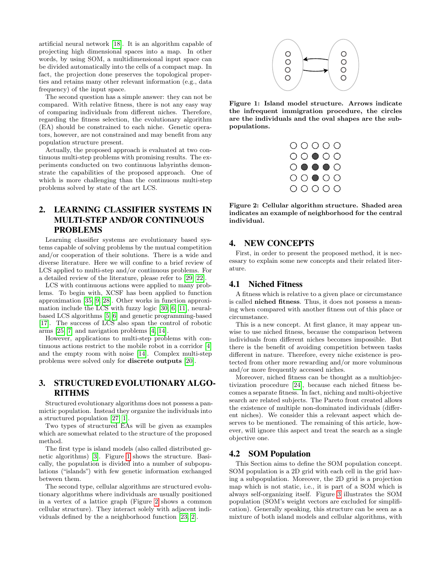artificial neural network [\[18\]](#page-7-11). It is an algorithm capable of projecting high dimensional spaces into a map. In other words, by using SOM, a multidimensional input space can be divided automatically into the cells of a compact map. In fact, the projection done preserves the topological properties and retains many other relevant information (e.g., data frequency) of the input space.

The second question has a simple answer: they can not be compared. With relative fitness, there is not any easy way of comparing individuals from different niches. Therefore, regarding the fitness selection, the evolutionary algorithm (EA) should be constrained to each niche. Genetic operators, however, are not constrained and may benefit from any population structure present.

Actually, the proposed approach is evaluated at two continuous multi-step problems with promising results. The experiments conducted on two continuous labyrinths demonstrate the capabilities of the proposed approach. One of which is more challenging than the continuous multi-step problems solved by state of the art LCS.

# 2. LEARNING CLASSIFIER SYSTEMS IN MULTI-STEP AND/OR CONTINUOUS PROBLEMS

Learning classifier systems are evolutionary based systems capable of solving problems by the mutual competition and/or cooperation of their solutions. There is a wide and diverse literature. Here we will confine to a brief review of LCS applied to multi-step and/or continuous problems. For a detailed review of the literature, please refer to [\[29,](#page-7-0) [22\]](#page-7-1).

LCS with continuous actions were applied to many problems. To begin with, XCSF has been applied to function approximation [\[35,](#page-7-5) [9,](#page-7-12) [28\]](#page-7-13). Other works in function approximation include the LCS with fuzzy logic [\[30,](#page-7-14) [6,](#page-7-15) [11\]](#page-7-16), neuralbased LCS algorithms [\[5,](#page-7-17) [6\]](#page-7-15) and genetic programming-based [\[17\]](#page-7-18). The success of LCS also span the control of robotic arms [\[25,](#page-7-19) [7\]](#page-7-20) and navigation problems [\[4,](#page-7-21) [14\]](#page-7-22).

However, applications to multi-step problems with continuous actions restrict to the mobile robot in a corridor [\[4\]](#page-7-21) and the empty room with noise [\[14\]](#page-7-22). Complex multi-step problems were solved only for discrete outputs [\[20\]](#page-7-23).

# 3. STRUCTURED EVOLUTIONARY ALGO-RITHMS

Structured evolutionary algorithms does not possess a panmictic population. Instead they organize the individuals into a structured population [\[27,](#page-7-24) [1\]](#page-6-0).

Two types of structured EAs will be given as examples which are somewhat related to the structure of the proposed method.

The first type is island models (also called distributed genetic algorithms) [\[3\]](#page-6-1). Figure [1](#page-1-0) shows the structure. Basically, the population is divided into a number of subpopulations ("islands") with few genetic information exchanged between them.

The second type, cellular algorithms are structured evolutionary algorithms where individuals are usually positioned in a vertex of a lattice graph (Figure [2](#page-1-1) shows a common cellular structure). They interact solely with adjacent individuals defined by the a neighborhood function [\[23,](#page-7-25) [2\]](#page-6-2).



Figure 1: Island model structure. Arrows indicate the infrequent immigration procedure, the circles are the individuals and the oval shapes are the subpopulations.

<span id="page-1-0"></span>

|  | $00000$                         |  |
|--|---------------------------------|--|
|  | 00000                           |  |
|  | $\circ\bullet\bullet\circ\circ$ |  |
|  | $\circ\circ\bullet\circ\circ$   |  |
|  | $00000$                         |  |

<span id="page-1-1"></span>Figure 2: Cellular algorithm structure. Shaded area indicates an example of neighborhood for the central individual.

## 4. NEW CONCEPTS

First, in order to present the proposed method, it is necessary to explain some new concepts and their related literature.

#### 4.1 Niched Fitness

A fitness which is relative to a given place or circumstance is called niched fitness. Thus, it does not possess a meaning when compared with another fitness out of this place or circumstance.

This is a new concept. At first glance, it may appear unwise to use niched fitness, because the comparison between individuals from different niches becomes impossible. But there is the benefit of avoiding competition between tasks different in nature. Therefore, every niche existence is protected from other more rewarding and/or more voluminous and/or more frequently accessed niches.

Moreover, niched fitness can be thought as a multiobjectivization procedure [\[24\]](#page-7-26), because each niched fitness becomes a separate fitness. In fact, niching and multi-objective search are related subjects. The Pareto front created allows the existence of multiple non-dominated individuals (different niches). We consider this a relevant aspect which deserves to be mentioned. The remaining of this article, however, will ignore this aspect and treat the search as a single objective one.

#### 4.2 SOM Population

This Section aims to define the SOM population concept. SOM population is a 2D grid with each cell in the grid having a subpopulation. Moreover, the 2D grid is a projection map which is not static, i.e., it is part of a SOM which is always self-organizing itself. Figure [3](#page-2-0) illustrates the SOM population (SOM's weight vectors are excluded for simplification). Generally speaking, this structure can be seen as a mixture of both island models and cellular algorithms, with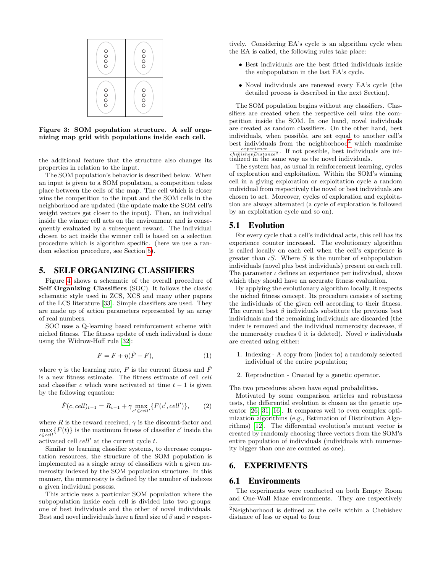

<span id="page-2-0"></span>Figure 3: SOM population structure. A self organizing map grid with populations inside each cell.

the additional feature that the structure also changes its properties in relation to the input.

The SOM population's behavior is described below. When an input is given to a SOM population, a competition takes place between the cells of the map. The cell which is closer wins the competition to the input and the SOM cells in the neighborhood are updated (the update make the SOM cell's weight vectors get closer to the input). Then, an individual inside the winner cell acts on the environment and is consequently evaluated by a subsequent reward. The individual chosen to act inside the winner cell is based on a selection procedure which is algorithm specific. (here we use a random selection procedure, see Section [5\)](#page-2-1).

#### <span id="page-2-1"></span>5. SELF ORGANIZING CLASSIFIERS

Figure [4](#page-3-0) shows a schematic of the overall procedure of Self Organizing Classifiers (SOC). It follows the classic schematic style used in ZCS, XCS and many other papers of the LCS literature [\[33\]](#page-7-2). Simple classifiers are used. They are made up of action parameters represented by an array of real numbers.

SOC uses a Q-learning based reinforcement scheme with niched fitness. The fitness update of each individual is done using the Widrow-Hoff rule [\[32\]](#page-7-27):

$$
F = F + \eta(\hat{F} - F),\tag{1}
$$

where  $\eta$  is the learning rate, F is the current fitness and F is a new fitness estimate. The fitness estimate of cell cell and classifier c which were activated at time  $t - 1$  is given by the following equation:

$$
\hat{F}(c, cell)_{t-1} = R_{t-1} + \gamma \max_{c' \in cell'} \{ F(c', cell') \},\tag{2}
$$

where R is the reward received,  $\gamma$  is the discount-factor and  $\max_{c \in cell} \{F(t)\}\$ is the maximum fitness of classifier  $c'$  inside the

activated cell  $cell'$  at the current cycle  $t$ .

Similar to learning classifier systems, to decrease computation resources, the structure of the SOM population is implemented as a single array of classifiers with a given numerosity indexed by the SOM population structure. In this manner, the numerosity is defined by the number of indexes a given individual possess.

This article uses a particular SOM population where the subpopulation inside each cell is divided into two groups: one of best individuals and the other of novel individuals. Best and novel individuals have a fixed size of  $\beta$  and  $\nu$  respectively. Considering EA's cycle is an algorithm cycle when the EA is called, the following rules take place:

- Best individuals are the best fitted individuals inside the subpopulation in the last EA's cycle.
- Novel individuals are renewed every EA's cycle (the detailed process is described in the next Section).

The SOM population begins without any classifiers. Classifiers are created when the respective cell wins the competition inside the SOM. In one hand, novel individuals are created as random classifiers. On the other hand, best individuals, when possible, are set equal to another cell's best individuals from the neighborhood<sup>[2](#page-2-2)</sup> which maximize  $\frac{experience}{chebishevDistance^2}$ . If not possible, best individuals are initialized in the same way as the novel individuals.

The system has, as usual in reinforcement learning, cycles of exploration and exploitation. Within the SOM's winning cell in a giving exploration or exploitation cycle a random individual from respectively the novel or best individuals are chosen to act. Moreover, cycles of exploration and exploitation are always alternated (a cycle of exploration is followed by an exploitation cycle and so on).

#### 5.1 Evolution

For every cycle that a cell's individual acts, this cell has its experience counter increased. The evolutionary algorithm is called locally on each cell when the cell's experience is greater than  $\iota S$ . Where S is the number of subpopulation individuals (novel plus best individuals) present on each cell. The parameter  $\iota$  defines an experience per individual, above which they should have an accurate fitness evaluation.

By applying the evolutionary algorithm locally, it respects the niched fitness concept. Its procedure consists of sorting the individuals of the given cell according to their fitness. The current best  $\beta$  individuals substitute the previous best individuals and the remaining individuals are discarded (the index is removed and the individual numerosity decrease, if the numerosity reaches 0 it is deleted). Novel  $\nu$  individuals are created using either:

- 1. Indexing A copy from (index to) a randomly selected individual of the entire population;
- 2. Reproduction Created by a genetic operator.

The two procedures above have equal probabilities.

Motivated by some comparison articles and robustness tests, the differential evolution is chosen as the genetic operator [\[26,](#page-7-28) [31,](#page-7-29) [16\]](#page-7-30). It compares well to even complex optimization algorithms (e.g., Estimation of Distribution Algorithms) [\[12\]](#page-7-31). The differential evolution's mutant vector is created by randomly choosing three vectors from the SOM's entire population of individuals (individuals with numerosity bigger than one are counted as one).

## 6. EXPERIMENTS

#### 6.1 Environments

The experiments were conducted on both Empty Room and One-Wall Maze environments. They are respectively

<span id="page-2-2"></span><sup>2</sup>Neighborhood is defined as the cells within a Chebishev distance of less or equal to four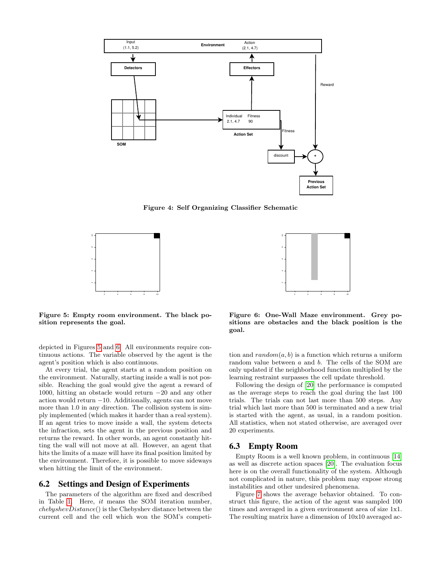

<span id="page-3-0"></span>Figure 4: Self Organizing Classifier Schematic



<span id="page-3-1"></span>Figure 5: Empty room environment. The black position represents the goal.

depicted in Figures [5](#page-3-1) and [6.](#page-3-2) All environments require continuous actions. The variable observed by the agent is the agent's position which is also continuous.

At every trial, the agent starts at a random position on the environment. Naturally, starting inside a wall is not possible. Reaching the goal would give the agent a reward of 1000, hitting an obstacle would return −20 and any other action would return −10. Additionally, agents can not move more than 1.0 in any direction. The collision system is simply implemented (which makes it harder than a real system). If an agent tries to move inside a wall, the system detects the infraction, sets the agent in the previous position and returns the reward. In other words, an agent constantly hitting the wall will not move at all. However, an agent that hits the limits of a maze will have its final position limited by the environment. Therefore, it is possible to move sideways when hitting the limit of the environment.

#### 6.2 Settings and Design of Experiments

The parameters of the algorithm are fixed and described in Table [1.](#page-4-0) Here, it means the SOM iteration number, chebyshevDistance() is the Chebyshev distance between the current cell and the cell which won the SOM's competi-



<span id="page-3-2"></span>Figure 6: One-Wall Maze environment. Grey positions are obstacles and the black position is the goal.

tion and  $random(a, b)$  is a function which returns a uniform random value between a and b. The cells of the SOM are only updated if the neighborhood function multiplied by the learning restraint surpasses the cell update threshold.

Following the design of [\[20\]](#page-7-23) the performance is computed as the average steps to reach the goal during the last 100 trials. The trials can not last more than 500 steps. Any trial which last more than 500 is terminated and a new trial is started with the agent, as usual, in a random position. All statistics, when not stated otherwise, are averaged over 20 experiments.

#### 6.3 Empty Room

Empty Room is a well known problem, in continuous [\[14\]](#page-7-22) as well as discrete action spaces [\[20\]](#page-7-23). The evaluation focus here is on the overall functionality of the system. Although not complicated in nature, this problem may expose strong instabilities and other undesired phenomena.

Figure [7](#page-4-1) shows the average behavior obtained. To construct this figure, the action of the agent was sampled 100 times and averaged in a given environment area of size 1x1. The resulting matrix have a dimension of 10x10 averaged ac-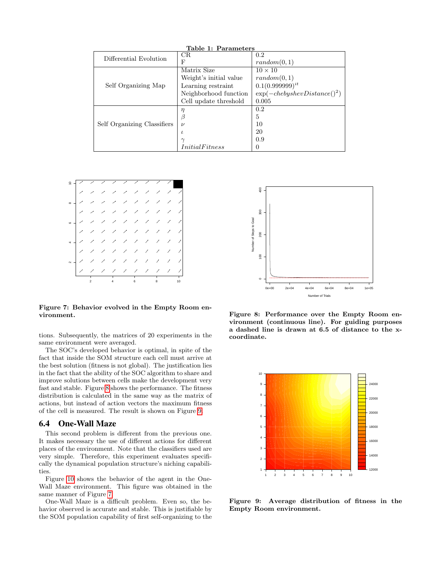<span id="page-4-0"></span>

| Table 1: Parameters         |                        |                                  |  |  |  |
|-----------------------------|------------------------|----------------------------------|--|--|--|
| Differential Evolution      | CR                     | 0.2                              |  |  |  |
|                             | F                      | random(0,1)                      |  |  |  |
|                             | Matrix Size            | $10 \times 10$                   |  |  |  |
|                             | Weight's initial value | random(0,1)                      |  |  |  |
| Self Organizing Map         | Learning restraint     | $0.1(0.999999)^{it}$             |  |  |  |
|                             | Neighborhood function  | $\exp(-chebyshevDistance()^{2})$ |  |  |  |
|                             | Cell update threshold  | 0.005                            |  |  |  |
|                             | η                      | 0.2                              |  |  |  |
|                             | β                      | 5                                |  |  |  |
| Self Organizing Classifiers | $\boldsymbol{\nu}$     | 10                               |  |  |  |
|                             | $\iota$                | 20                               |  |  |  |
|                             | $\sim$                 | 0.9                              |  |  |  |
|                             | <i>InitialFitness</i>  | $\overline{0}$                   |  |  |  |



<span id="page-4-1"></span>Figure 7: Behavior evolved in the Empty Room environment.

tions. Subsequently, the matrices of 20 experiments in the same environment were averaged.

The SOC's developed behavior is optimal, in spite of the fact that inside the SOM structure each cell must arrive at the best solution (fitness is not global). The justification lies in the fact that the ability of the SOC algorithm to share and improve solutions between cells make the development very fast and stable. Figure [8](#page-4-2) shows the performance. The fitness distribution is calculated in the same way as the matrix of actions, but instead of action vectors the maximum fitness of the cell is measured. The result is shown on Figure [9.](#page-4-3)

#### 6.4 One-Wall Maze

This second problem is different from the previous one. It makes necessary the use of different actions for different places of the environment. Note that the classifiers used are very simple. Therefore, this experiment evaluates specifically the dynamical population structure's niching capabilities.

Figure [10](#page-5-0) shows the behavior of the agent in the One-Wall Maze environment. This figure was obtained in the same manner of Figure [7.](#page-4-1)

One-Wall Maze is a difficult problem. Even so, the behavior observed is accurate and stable. This is justifiable by the SOM population capability of first self-organizing to the



<span id="page-4-2"></span>Figure 8: Performance over the Empty Room environment (continuous line). For guiding purposes a dashed line is drawn at 6.5 of distance to the xcoordinate.



<span id="page-4-3"></span>Figure 9: Average distribution of fitness in the Empty Room environment.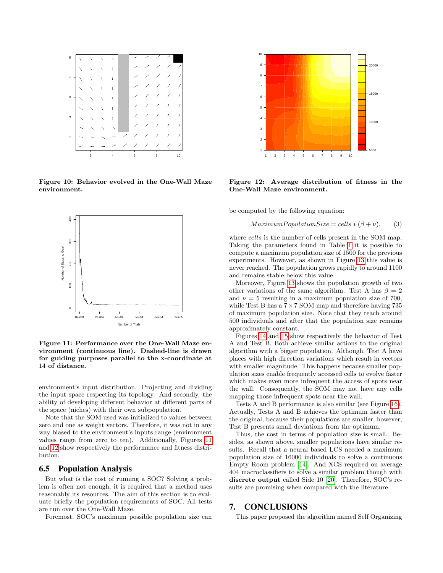

<span id="page-5-0"></span>Figure 10: Behavior evolved in the One-Wall Maze environment.



<span id="page-5-1"></span>Figure 11: Performance over the One-Wall Maze environment (continuous line). Dashed-line is drawn for guiding purposes parallel to the x-coordinate at 14 of distance.

environment's input distribution. Projecting and dividing the input space respecting its topology. And secondly, the ability of developing different behavior at different parts of the space (niches) with their own subpopulation.

Note that the SOM used was initialized to values between zero and one as weight vectors. Therefore, it was not in any way biased to the environment's inputs range (environment values range from zero to ten). Additionally, Figures [11](#page-5-1) and [12](#page-5-2) show respectively the performance and fitness distribution.

#### 6.5 Population Analysis

But what is the cost of running a SOC? Solving a problem is often not enough, it is required that a method uses reasonably its resources. The aim of this section is to evaluate briefly the population requirements of SOC. All tests are run over the One-Wall Maze.



<span id="page-5-2"></span>Figure 12: Average distribution of fitness in the One-Wall Maze environment.

be computed by the following equation:

$$
Maximum PopulationSize = cells * (\beta + \nu), \qquad (3)
$$

where cells is the number of cells present in the SOM map. Taking the parameters found in Table [1](#page-4-0) it is possible to compute a maximum population size of 1500 for the previous experiments. However, as shown in Figure [13](#page-6-3) this value is never reached. The population grows rapidly to around 1100 and remains stable below this value.

Moreover, Figure [13](#page-6-3) shows the population growth of two other variations of the same algorithm. Test A has  $\beta = 2$ and  $\nu = 5$  resulting in a maximum population size of 700, while Test B has a  $7 \times 7$  SOM map and therefore having 735 of maximum population size. Note that they reach around 500 individuals and after that the population size remains approximately constant.

Figures [14](#page-6-4) and [15](#page-6-5) show respectively the behavior of Test A and Test B. Both achieve similar actions to the original algorithm with a bigger population. Although, Test A have places with high direction variations which result in vectors with smaller magnitude. This happens because smaller population sizes enable frequently accessed cells to evolve faster which makes even more infrequent the access of spots near the wall. Consequently, the SOM may not have any cells mapping those infrequent spots near the wall.

Tests A and B performance is also similar (see Figure [16\)](#page-6-6). Actually, Tests A and B achieves the optimum faster than the original, because their populations are smaller, however, Test B presents small deviations from the optimum.

Thus, the cost in terms of population size is small. Besides, as shown above, smaller populations have similar results. Recall that a neural based LCS needed a maximum population size of 16000 individuals to solve a continuous Empty Room problem [\[14\]](#page-7-22). And XCS required on average 404 macroclassifiers to solve a similar problem though with discrete output called Side 10 [\[20\]](#page-7-23). Therefore, SOC's results are promising when compared with the literature.

## 7. CONCLUSIONS

This paper proposed the algorithm named Self Organizing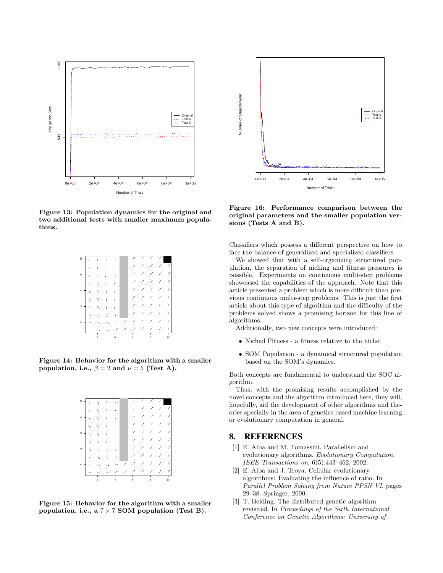

<span id="page-6-3"></span>Figure 13: Population dynamics for the original and two additional tests with smaller maximum populations.



<span id="page-6-4"></span>Figure 14: Behavior for the algorithm with a smaller population, i.e.,  $\beta = 2$  and  $\nu = 5$  (Test A).

| °.          |   |   |   | ١            |   |   |   |   |          |
|-------------|---|---|---|--------------|---|---|---|---|----------|
|             | ╲ |   | x | ¥            |   |   |   |   | 1        |
| $\infty$    |   |   |   | í.           | ╱ |   |   |   |          |
|             |   |   |   | $\mathbf{I}$ | 1 |   |   |   |          |
| $\circ$     |   |   |   | ī            | ↗ |   |   |   | $\prime$ |
|             |   |   |   |              | ╱ |   |   |   |          |
| ÷           |   |   |   | x            | ∕ |   | t | 7 | 7        |
|             |   |   |   |              | 7 |   |   | 1 | $\prime$ |
| $\sim$<br>۰ |   |   |   |              | 1 | 7 |   |   | 7        |
|             |   |   |   |              |   | ∕ |   |   |          |
|             |   | 2 |   |              | 6 |   | 8 |   | 10       |

<span id="page-6-5"></span>Figure 15: Behavior for the algorithm with a smaller population, i.e., a  $7 \times 7$  SOM population (Test B).



<span id="page-6-6"></span>Figure 16: Performance comparison between the original parameters and the smaller population versions (Tests A and B).

Classifiers which possess a different perspective on how to face the balance of generalized and specialized classifiers.

We showed that with a self-organizing structured population, the separation of niching and fitness pressures is possible. Experiments on continuous multi-step problems showcased the capabilities of the approach. Note that this article presented a problem which is more difficult than previous continuous multi-step problems. This is just the first article about this type of algorithm and the difficulty of the problems solved shows a promising horizon for this line of algorithms.

Additionally, two new concepts were introduced:

- Niched Fitness a fitness relative to the niche;
- SOM Population a dynamical structured population based on the SOM's dynamics.

Both concepts are fundamental to understand the SOC algorithm.

Thus, with the promising results accomplished by the novel concepts and the algorithm introduced here, they will, hopefully, aid the development of other algorithms and theories specially in the area of genetics based machine learning or evolutionary computation in general.

#### 8. REFERENCES

- <span id="page-6-0"></span>[1] E. Alba and M. Tomassini. Parallelism and evolutionary algorithms. Evolutionary Computation, IEEE Transactions on, 6(5):443–462, 2002.
- <span id="page-6-2"></span>[2] E. Alba and J. Troya. Cellular evolutionary algorithms: Evaluating the influence of ratio. In Parallel Problem Solving from Nature PPSN VI, pages 29–38. Springer, 2000.
- <span id="page-6-1"></span>[3] T. Belding. The distributed genetic algorithm revisited. In Proceedings of the Sixth International Conference on Genetic Algorithms: University of